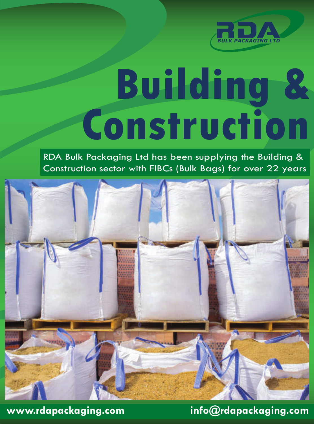

# **Building & Construction**

RDA Bulk Packaging Ltd has been supplying the Building & Construction sector with FIBCs (Bulk Bags) for over 22 years



**www.rdapackaging.com info@rdapackaging.com**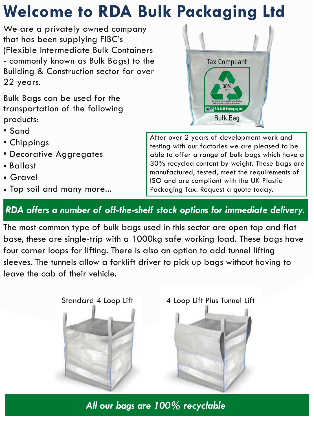## **Welcome to RDA Bulk Packaging Ltd**

We are a privately owned company that has been supplying FIBC's (Flexible Intermediate Bulk Containers - commonly known as Bulk Bags) to the Building & Construction sector for over 22 years.

Bulk Bags can be used for the transportation of the following products:

- Sand
- Chippings
- Decorative Aggregates
- Ballast
- Gravel
- Top soil and many more...

After over 2 years of development work and testing with our factories we are pleased to be able to offer a range of bulk bags which have a 30% recycled content by weight. These bags are manufactured, tested, meet the requirements of ISO and are compliant with the UK Plastic Packaging Tax. Request a quote today.

### *RDA offers a number of off-the-shelf stock options for immediate delivery.*

The most common type of bulk bags used in this sector are open top and flat base, these are single-trip with a 1000kg safe working load. These bags have four corner loops for lifting. There is also an option to add tunnel lifting sleeves. The tunnels allow a forklift driver to pick up bags without having to leave the cab of their vehicle.

Standard 4 Loop Lift 4 Loop Lift Plus Tunnel Lift

*All our bags are 100% recyclable* 



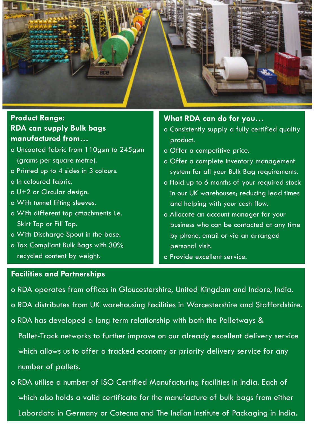

#### **RDA can supply Bulk bags manufactured from… Product Range:**

- o Uncoated fabric from 110asm to 245 asm (grams per square metre).
- o Printed up to 4 sides in 3 colours.
- o In coloured fabric.
- o U+2 or Circular design.
- o With tunnel lifting sleeves.
- o With different top attachments i.e. Skirt Top or Fill Top.
- o With Discharge Spout in the base.
- o Tax Compliant Bulk Bags with 30% recycled content by weight.

#### **What RDA can do for you…**

- o Consistently supply a fully certified quality product.
- o Offer a competitive price.
- o Offer a complete inventory management system for all your Bulk Bag requirements.
- o Hold up to 6 months of your required stock in our UK warehouses; reducing lead times and helping with your cash flow.
- o Allocate an account manager for your business who can be contacted at any time by phone, email or via an arranged personal visit.
- o Provide excellent service.

#### **Facilities and Partnerships**

- o RDA operates from offices in Gloucestershire, United Kingdom and Indore, India.
- o RDA distributes from UK warehousing facilities in Worcestershire and Staffordshire.
- o RDA has developed a long term relationship with both the Palletways & Pallet-Track networks to further improve on our already excellent delivery service which allows us to offer a tracked economy or priority delivery service for any number of pallets.
- o RDA utilise a number of ISO Certified Manufacturing facilities in India. Each of which also holds a valid certificate for the manufacture of bulk bags from either Labordata in Germany or Cotecna and The Indian Institute of Packaging in India.